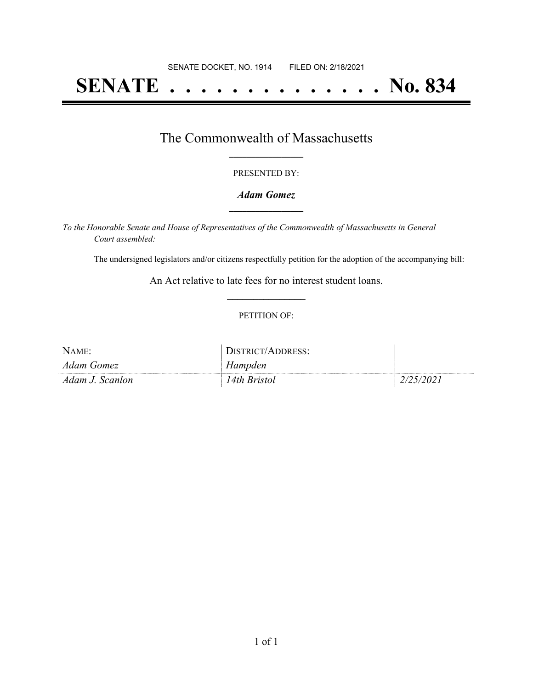# **SENATE . . . . . . . . . . . . . . No. 834**

### The Commonwealth of Massachusetts **\_\_\_\_\_\_\_\_\_\_\_\_\_\_\_\_\_**

#### PRESENTED BY:

#### *Adam Gomez* **\_\_\_\_\_\_\_\_\_\_\_\_\_\_\_\_\_**

*To the Honorable Senate and House of Representatives of the Commonwealth of Massachusetts in General Court assembled:*

The undersigned legislators and/or citizens respectfully petition for the adoption of the accompanying bill:

An Act relative to late fees for no interest student loans. **\_\_\_\_\_\_\_\_\_\_\_\_\_\_\_**

#### PETITION OF:

| Name:           | \ISTRICT/<br>ADDRESS: |        |
|-----------------|-----------------------|--------|
| Adam Gomez      | Hampden               |        |
| Adam J. Scanlon | ' 4th Bristol         | 25/202 |